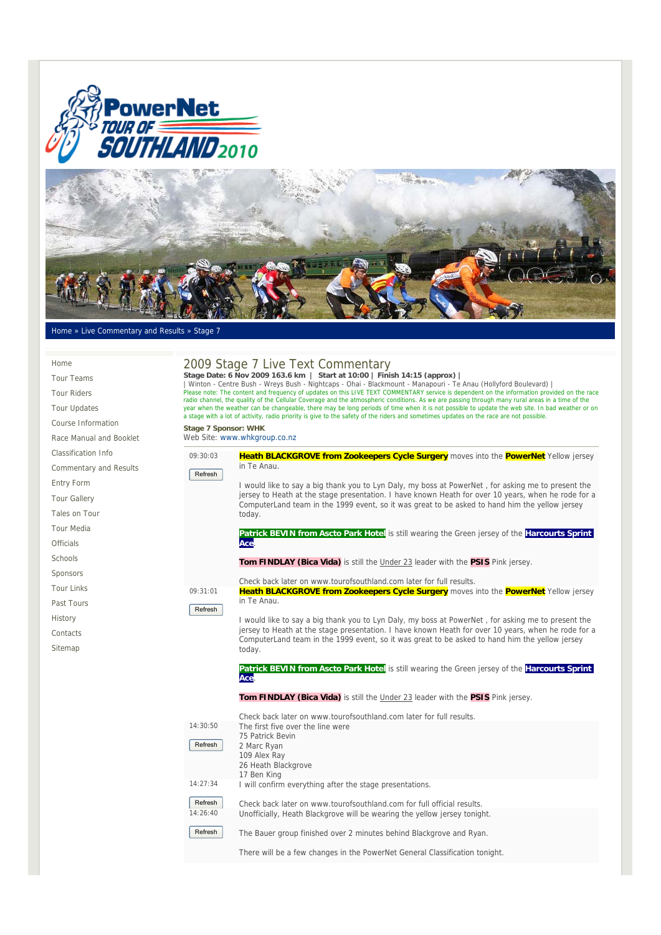



## Home » Live Commentary and Results » Stage 7

| Home                          |                                                                                                                                                                                                                                                                                                                                              | 2009 Stage 7 Live Text Commentary                                                                                                                           |  |
|-------------------------------|----------------------------------------------------------------------------------------------------------------------------------------------------------------------------------------------------------------------------------------------------------------------------------------------------------------------------------------------|-------------------------------------------------------------------------------------------------------------------------------------------------------------|--|
| <b>Tour Teams</b>             | Stage Date: 6 Nov 2009 163.6 km   Start at 10:00   Finish 14:15 (approx)  <br>  Winton - Centre Bush - Wreys Bush - Nightcaps - Ohai - Blackmount - Manapouri - Te Anau (Hollyford Boulevard)<br>Please note: The content and frequency of updates on this LIVE TEXT COMMENTARY service is dependent on the information provided on the race |                                                                                                                                                             |  |
| <b>Tour Riders</b>            |                                                                                                                                                                                                                                                                                                                                              |                                                                                                                                                             |  |
| <b>Tour Updates</b>           | radio channel, the quality of the Cellular Coverage and the atmospheric conditions. As we are passing through many rural areas in a time of the<br>year when the weather can be changeable, there may be long periods of time when it is not possible to update the web site. In bad weather or on                                           |                                                                                                                                                             |  |
| Course Information            |                                                                                                                                                                                                                                                                                                                                              | a stage with a lot of activity, radio priority is give to the safety of the riders and sometimes updates on the race are not possible.                      |  |
| Race Manual and Booklet       | Stage 7 Sponsor: WHK                                                                                                                                                                                                                                                                                                                         | Web Site: www.whkgroup.co.nz                                                                                                                                |  |
| <b>Classification Info</b>    | 09:30:03                                                                                                                                                                                                                                                                                                                                     | Heath BLACKGROVE from Zookeepers Cycle Surgery moves into the PowerNet Yellow jersey                                                                        |  |
| <b>Commentary and Results</b> |                                                                                                                                                                                                                                                                                                                                              | in Te Anau.                                                                                                                                                 |  |
| Entry Form                    | Refresh                                                                                                                                                                                                                                                                                                                                      | I would like to say a big thank you to Lyn Daly, my boss at PowerNet, for asking me to present the                                                          |  |
| <b>Tour Gallery</b>           |                                                                                                                                                                                                                                                                                                                                              | jersey to Heath at the stage presentation. I have known Heath for over 10 years, when he rode for a                                                         |  |
| Tales on Tour                 |                                                                                                                                                                                                                                                                                                                                              | ComputerLand team in the 1999 event, so it was great to be asked to hand him the yellow jersey<br>today.                                                    |  |
| <b>Tour Media</b>             |                                                                                                                                                                                                                                                                                                                                              |                                                                                                                                                             |  |
| <b>Officials</b>              |                                                                                                                                                                                                                                                                                                                                              | Patrick BEVIN from Ascto Park Hotel is still wearing the Green jersey of the Harcourts Sprint<br>Acel                                                       |  |
| Schools                       |                                                                                                                                                                                                                                                                                                                                              | <b>Tom FINDLAY (Bica Vida)</b> is still the Under 23 leader with the <b>PSIS</b> Pink jersey.                                                               |  |
| Sponsors                      |                                                                                                                                                                                                                                                                                                                                              |                                                                                                                                                             |  |
| <b>Tour Links</b>             | 09:31:01                                                                                                                                                                                                                                                                                                                                     | Check back later on www.tourofsouthland.com later for full results.<br>Heath BLACKGROVE from Zookeepers Cycle Surgery moves into the PowerNet Yellow jersey |  |
| Past Tours                    |                                                                                                                                                                                                                                                                                                                                              | in Te Anau.                                                                                                                                                 |  |
| History                       | Refresh                                                                                                                                                                                                                                                                                                                                      | I would like to say a big thank you to Lyn Daly, my boss at PowerNet, for asking me to present the                                                          |  |
| Contacts                      |                                                                                                                                                                                                                                                                                                                                              | jersey to Heath at the stage presentation. I have known Heath for over 10 years, when he rode for a                                                         |  |
| Sitemap                       |                                                                                                                                                                                                                                                                                                                                              | ComputerLand team in the 1999 event, so it was great to be asked to hand him the yellow jersey<br>today.                                                    |  |
|                               |                                                                                                                                                                                                                                                                                                                                              |                                                                                                                                                             |  |
|                               |                                                                                                                                                                                                                                                                                                                                              | <b>Patrick BEVIN from Ascto Park Hotel</b> is still wearing the Green jersey of the <b>Harcourts Sprint</b><br><b>Ace</b>                                   |  |
|                               |                                                                                                                                                                                                                                                                                                                                              | Tom FINDLAY (Bica Vida) is still the Under 23 leader with the PSIS Pink jersey.                                                                             |  |
|                               |                                                                                                                                                                                                                                                                                                                                              | Check back later on www.tourofsouthland.com later for full results.                                                                                         |  |
|                               | 14:30:50                                                                                                                                                                                                                                                                                                                                     | The first five over the line were<br>75 Patrick Bevin                                                                                                       |  |
|                               | Refresh                                                                                                                                                                                                                                                                                                                                      | 2 Marc Ryan                                                                                                                                                 |  |
|                               |                                                                                                                                                                                                                                                                                                                                              | 109 Alex Ray<br>26 Heath Blackgrove                                                                                                                         |  |
|                               |                                                                                                                                                                                                                                                                                                                                              | 17 Ben King                                                                                                                                                 |  |
|                               | 14:27:34                                                                                                                                                                                                                                                                                                                                     | I will confirm everything after the stage presentations.                                                                                                    |  |
|                               | Refresh                                                                                                                                                                                                                                                                                                                                      | Check back later on www.tourofsouthland.com for full official results.                                                                                      |  |
|                               | 14:26:40                                                                                                                                                                                                                                                                                                                                     | Unofficially, Heath Blackgrove will be wearing the yellow jersey tonight.                                                                                   |  |
|                               | Refresh                                                                                                                                                                                                                                                                                                                                      | The Bauer group finished over 2 minutes behind Blackgrove and Ryan.                                                                                         |  |
|                               |                                                                                                                                                                                                                                                                                                                                              | There will be a few changes in the PowerNet General Classification tonight.                                                                                 |  |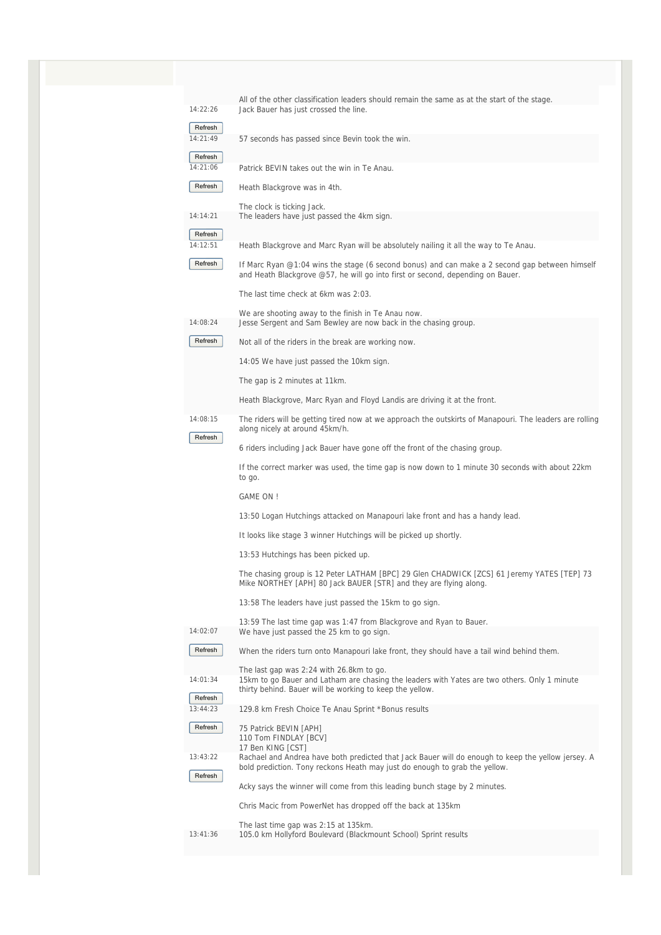| 14:22:26            | All of the other classification leaders should remain the same as at the start of the stage.<br>Jack Bauer has just crossed the line.                                            |
|---------------------|----------------------------------------------------------------------------------------------------------------------------------------------------------------------------------|
| Refresh             |                                                                                                                                                                                  |
| 14:21:49            | 57 seconds has passed since Bevin took the win.                                                                                                                                  |
| Refresh             |                                                                                                                                                                                  |
| 14:21:06            | Patrick BEVIN takes out the win in Te Anau.                                                                                                                                      |
| Refresh             | Heath Blackgrove was in 4th.                                                                                                                                                     |
| 14:14:21            | The clock is ticking Jack.<br>The leaders have just passed the 4km sign.                                                                                                         |
| Refresh<br>14:12:51 | Heath Blackgrove and Marc Ryan will be absolutely nailing it all the way to Te Anau.                                                                                             |
| Refresh             | If Marc Ryan @1:04 wins the stage (6 second bonus) and can make a 2 second gap between himself<br>and Heath Blackgrove @57, he will go into first or second, depending on Bauer. |
|                     | The last time check at 6km was 2:03.                                                                                                                                             |
|                     | We are shooting away to the finish in Te Anau now.                                                                                                                               |
| 14:08:24            | Jesse Sergent and Sam Bewley are now back in the chasing group.                                                                                                                  |
| Refresh             | Not all of the riders in the break are working now.                                                                                                                              |
|                     | 14:05 We have just passed the 10km sign.                                                                                                                                         |
|                     | The gap is 2 minutes at 11km.                                                                                                                                                    |
|                     | Heath Blackgrove, Marc Ryan and Floyd Landis are driving it at the front.                                                                                                        |
| 14:08:15<br>Refresh | The riders will be getting tired now at we approach the outskirts of Manapouri. The leaders are rolling<br>along nicely at around 45km/h.                                        |
|                     | 6 riders including Jack Bauer have gone off the front of the chasing group.                                                                                                      |
|                     | If the correct marker was used, the time gap is now down to 1 minute 30 seconds with about 22km<br>to go.                                                                        |
|                     | <b>GAME ON!</b>                                                                                                                                                                  |
|                     | 13:50 Logan Hutchings attacked on Manapouri lake front and has a handy lead.                                                                                                     |
|                     | It looks like stage 3 winner Hutchings will be picked up shortly.                                                                                                                |
|                     | 13:53 Hutchings has been picked up.                                                                                                                                              |
|                     | The chasing group is 12 Peter LATHAM [BPC] 29 Glen CHADWICK [ZCS] 61 Jeremy YATES [TEP] 73<br>Mike NORTHEY [APH] 80 Jack BAUER [STR] and they are flying along.                  |
|                     | 13:58 The leaders have just passed the 15km to go sign.                                                                                                                          |
|                     | 13:59 The last time gap was 1:47 from Blackgrove and Ryan to Bauer.                                                                                                              |
| 14:02:07            | We have just passed the 25 km to go sign.                                                                                                                                        |
| Refresh             | When the riders turn onto Manapouri lake front, they should have a tail wind behind them.                                                                                        |
| 14:01:34            | The last gap was 2:24 with 26.8km to go.<br>15km to go Bauer and Latham are chasing the leaders with Yates are two others. Only 1 minute                                         |
|                     | thirty behind. Bauer will be working to keep the yellow.                                                                                                                         |
| Refresh<br>13:44:23 | 129.8 km Fresh Choice Te Anau Sprint *Bonus results                                                                                                                              |
| Refresh             | 75 Patrick BEVIN [APH]<br>110 Tom FINDLAY [BCV]                                                                                                                                  |
| 13:43:22            | 17 Ben KING [CST]<br>Rachael and Andrea have both predicted that Jack Bauer will do enough to keep the yellow jersey. A                                                          |
| Refresh             | bold prediction. Tony reckons Heath may just do enough to grab the yellow.                                                                                                       |
|                     | Acky says the winner will come from this leading bunch stage by 2 minutes.                                                                                                       |
|                     | Chris Macic from PowerNet has dropped off the back at 135km                                                                                                                      |
| 13:41:36            | The last time gap was 2:15 at 135km.<br>105.0 km Hollyford Boulevard (Blackmount School) Sprint results                                                                          |
|                     |                                                                                                                                                                                  |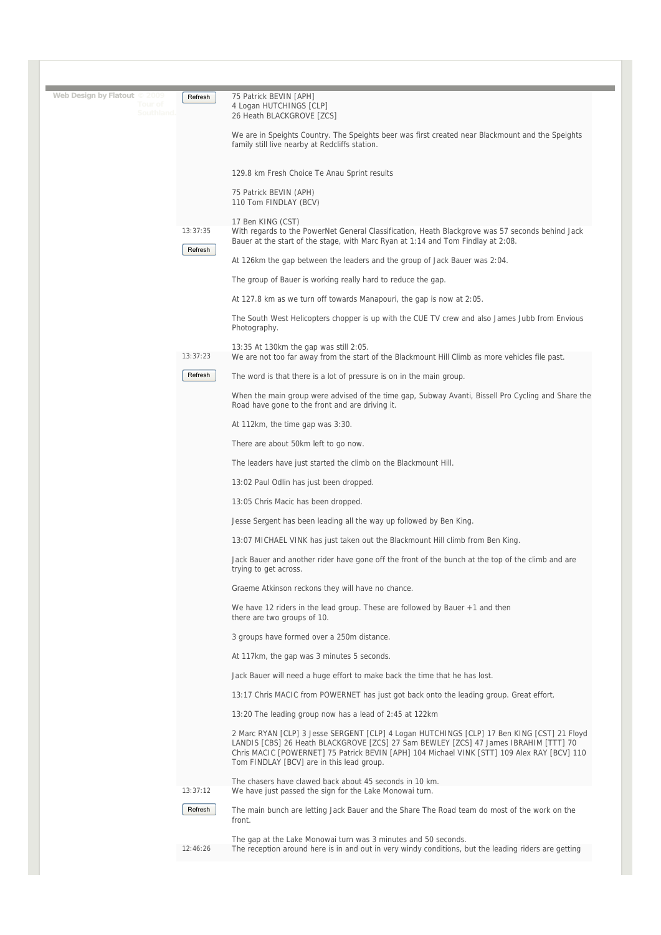| Web Design by Flatout © 2009<br>Tour of<br>Southland. | Refresh  | 75 Patrick BEVIN [APH]<br>4 Logan HUTCHINGS [CLP]<br>26 Heath BLACKGROVE [ZCS]                                                                                                                                                                                                                                                 |
|-------------------------------------------------------|----------|--------------------------------------------------------------------------------------------------------------------------------------------------------------------------------------------------------------------------------------------------------------------------------------------------------------------------------|
|                                                       |          | We are in Speights Country. The Speights beer was first created near Blackmount and the Speights<br>family still live nearby at Redcliffs station.                                                                                                                                                                             |
|                                                       |          | 129.8 km Fresh Choice Te Anau Sprint results                                                                                                                                                                                                                                                                                   |
|                                                       |          | 75 Patrick BEVIN (APH)<br>110 Tom FINDLAY (BCV)                                                                                                                                                                                                                                                                                |
|                                                       | 13:37:35 | 17 Ben KING (CST)<br>With regards to the PowerNet General Classification, Heath Blackgrove was 57 seconds behind Jack<br>Bauer at the start of the stage, with Marc Ryan at 1:14 and Tom Findlay at 2:08.                                                                                                                      |
|                                                       | Refresh  | At 126km the gap between the leaders and the group of Jack Bauer was 2:04.                                                                                                                                                                                                                                                     |
|                                                       |          | The group of Bauer is working really hard to reduce the gap.                                                                                                                                                                                                                                                                   |
|                                                       |          | At 127.8 km as we turn off towards Manapouri, the gap is now at 2:05.                                                                                                                                                                                                                                                          |
|                                                       |          | The South West Helicopters chopper is up with the CUE TV crew and also James Jubb from Envious<br>Photography.                                                                                                                                                                                                                 |
|                                                       | 13:37:23 | 13:35 At 130km the gap was still 2:05.<br>We are not too far away from the start of the Blackmount Hill Climb as more vehicles file past.                                                                                                                                                                                      |
|                                                       | Refresh  | The word is that there is a lot of pressure is on in the main group.                                                                                                                                                                                                                                                           |
|                                                       |          | When the main group were advised of the time gap, Subway Avanti, Bissell Pro Cycling and Share the<br>Road have gone to the front and are driving it.                                                                                                                                                                          |
|                                                       |          | At 112km, the time gap was 3:30.                                                                                                                                                                                                                                                                                               |
|                                                       |          | There are about 50km left to go now.                                                                                                                                                                                                                                                                                           |
|                                                       |          | The leaders have just started the climb on the Blackmount Hill.                                                                                                                                                                                                                                                                |
|                                                       |          | 13:02 Paul Odlin has just been dropped.                                                                                                                                                                                                                                                                                        |
|                                                       |          | 13:05 Chris Macic has been dropped.                                                                                                                                                                                                                                                                                            |
|                                                       |          | Jesse Sergent has been leading all the way up followed by Ben King.                                                                                                                                                                                                                                                            |
|                                                       |          | 13:07 MICHAEL VINK has just taken out the Blackmount Hill climb from Ben King.                                                                                                                                                                                                                                                 |
|                                                       |          | Jack Bauer and another rider have gone off the front of the bunch at the top of the climb and are<br>trying to get across.                                                                                                                                                                                                     |
|                                                       |          | Graeme Atkinson reckons they will have no chance.                                                                                                                                                                                                                                                                              |
|                                                       |          | We have 12 riders in the lead group. These are followed by Bauer +1 and then<br>there are two groups of 10.                                                                                                                                                                                                                    |
|                                                       |          | 3 groups have formed over a 250m distance.                                                                                                                                                                                                                                                                                     |
|                                                       |          | At 117km, the gap was 3 minutes 5 seconds.                                                                                                                                                                                                                                                                                     |
|                                                       |          | Jack Bauer will need a huge effort to make back the time that he has lost.                                                                                                                                                                                                                                                     |
|                                                       |          | 13:17 Chris MACIC from POWERNET has just got back onto the leading group. Great effort.                                                                                                                                                                                                                                        |
|                                                       |          | 13:20 The leading group now has a lead of 2:45 at 122km                                                                                                                                                                                                                                                                        |
|                                                       |          | 2 Marc RYAN [CLP] 3 Jesse SERGENT [CLP] 4 Logan HUTCHINGS [CLP] 17 Ben KING [CST] 21 Floyd<br>LANDIS [CBS] 26 Heath BLACKGROVE [ZCS] 27 Sam BEWLEY [ZCS] 47 James IBRAHIM [TTT] 70<br>Chris MACIC [POWERNET] 75 Patrick BEVIN [APH] 104 Michael VINK [STT] 109 Alex RAY [BCV] 110<br>Tom FINDLAY [BCV] are in this lead group. |
|                                                       | 13:37:12 | The chasers have clawed back about 45 seconds in 10 km.<br>We have just passed the sign for the Lake Monowai turn.                                                                                                                                                                                                             |
|                                                       | Refresh  | The main bunch are letting Jack Bauer and the Share The Road team do most of the work on the<br>front.                                                                                                                                                                                                                         |
|                                                       |          | The gap at the Lake Monowai turn was 3 minutes and 50 seconds.                                                                                                                                                                                                                                                                 |
|                                                       | 12:46:26 | The reception around here is in and out in very windy conditions, but the leading riders are getting                                                                                                                                                                                                                           |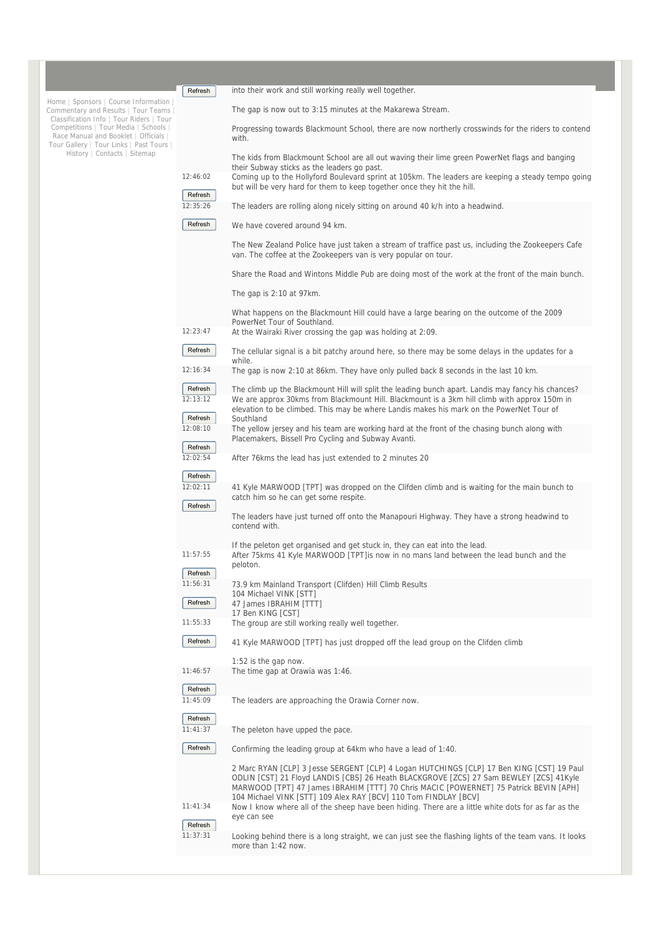|                                                                                                                                                                                                                                                                                     | Refresh             | into their work and still working really well together.                                                                                                                                                                                                                                                                                                                                                                                                |
|-------------------------------------------------------------------------------------------------------------------------------------------------------------------------------------------------------------------------------------------------------------------------------------|---------------------|--------------------------------------------------------------------------------------------------------------------------------------------------------------------------------------------------------------------------------------------------------------------------------------------------------------------------------------------------------------------------------------------------------------------------------------------------------|
| Home   Sponsors   Course Information<br>Commentary and Results   Tour Teams<br>Classification Info   Tour Riders   Tour<br>Competitions   Tour Media   Schools  <br>Race Manual and Booklet   Officials<br>Tour Gallery   Tour Links   Past Tours  <br>History   Contacts   Sitemap |                     | The gap is now out to 3:15 minutes at the Makarewa Stream.                                                                                                                                                                                                                                                                                                                                                                                             |
|                                                                                                                                                                                                                                                                                     |                     | Progressing towards Blackmount School, there are now northerly crosswinds for the riders to contend<br>with.                                                                                                                                                                                                                                                                                                                                           |
|                                                                                                                                                                                                                                                                                     |                     | The kids from Blackmount School are all out waving their lime green PowerNet flags and banging<br>their Subway sticks as the leaders go past.                                                                                                                                                                                                                                                                                                          |
|                                                                                                                                                                                                                                                                                     | 12:46:02            | Coming up to the Hollyford Boulevard sprint at 105km. The leaders are keeping a steady tempo going<br>but will be very hard for them to keep together once they hit the hill.                                                                                                                                                                                                                                                                          |
|                                                                                                                                                                                                                                                                                     | Refresh<br>12:35:26 | The leaders are rolling along nicely sitting on around 40 k/h into a headwind.                                                                                                                                                                                                                                                                                                                                                                         |
|                                                                                                                                                                                                                                                                                     | Refresh             | We have covered around 94 km.                                                                                                                                                                                                                                                                                                                                                                                                                          |
|                                                                                                                                                                                                                                                                                     |                     | The New Zealand Police have just taken a stream of traffice past us, including the Zookeepers Cafe<br>van. The coffee at the Zookeepers van is very popular on tour.                                                                                                                                                                                                                                                                                   |
|                                                                                                                                                                                                                                                                                     |                     | Share the Road and Wintons Middle Pub are doing most of the work at the front of the main bunch.                                                                                                                                                                                                                                                                                                                                                       |
|                                                                                                                                                                                                                                                                                     |                     | The gap is $2:10$ at 97 km.                                                                                                                                                                                                                                                                                                                                                                                                                            |
|                                                                                                                                                                                                                                                                                     |                     | What happens on the Blackmount Hill could have a large bearing on the outcome of the 2009<br>PowerNet Tour of Southland.                                                                                                                                                                                                                                                                                                                               |
|                                                                                                                                                                                                                                                                                     | 12:23:47            | At the Wairaki River crossing the gap was holding at 2:09.                                                                                                                                                                                                                                                                                                                                                                                             |
|                                                                                                                                                                                                                                                                                     | Refresh             | The cellular signal is a bit patchy around here, so there may be some delays in the updates for a<br>while.                                                                                                                                                                                                                                                                                                                                            |
|                                                                                                                                                                                                                                                                                     | 12:16:34            | The gap is now 2:10 at 86km. They have only pulled back 8 seconds in the last 10 km.                                                                                                                                                                                                                                                                                                                                                                   |
|                                                                                                                                                                                                                                                                                     | Refresh<br>12:13:12 | The climb up the Blackmount Hill will split the leading bunch apart. Landis may fancy his chances?<br>We are approx 30kms from Blackmount Hill. Blackmount is a 3km hill climb with approx 150m in                                                                                                                                                                                                                                                     |
|                                                                                                                                                                                                                                                                                     | Refresh             | elevation to be climbed. This may be where Landis makes his mark on the PowerNet Tour of<br>Southland                                                                                                                                                                                                                                                                                                                                                  |
|                                                                                                                                                                                                                                                                                     | 12:08:10            | The yellow jersey and his team are working hard at the front of the chasing bunch along with<br>Placemakers, Bissell Pro Cycling and Subway Avanti.                                                                                                                                                                                                                                                                                                    |
|                                                                                                                                                                                                                                                                                     | Refresh<br>12:02:54 |                                                                                                                                                                                                                                                                                                                                                                                                                                                        |
|                                                                                                                                                                                                                                                                                     |                     | After 76kms the lead has just extended to 2 minutes 20                                                                                                                                                                                                                                                                                                                                                                                                 |
|                                                                                                                                                                                                                                                                                     | Refresh<br>12:02:11 | 41 Kyle MARWOOD [TPT] was dropped on the Clifden climb and is waiting for the main bunch to                                                                                                                                                                                                                                                                                                                                                            |
|                                                                                                                                                                                                                                                                                     | Refresh             | catch him so he can get some respite.                                                                                                                                                                                                                                                                                                                                                                                                                  |
|                                                                                                                                                                                                                                                                                     |                     | The leaders have just turned off onto the Manapouri Highway. They have a strong headwind to<br>contend with.                                                                                                                                                                                                                                                                                                                                           |
|                                                                                                                                                                                                                                                                                     | 11:57:55            | If the peleton get organised and get stuck in, they can eat into the lead.<br>After 75kms 41 Kyle MARWOOD [TPT] is now in no mans land between the lead bunch and the                                                                                                                                                                                                                                                                                  |
|                                                                                                                                                                                                                                                                                     |                     | peloton.                                                                                                                                                                                                                                                                                                                                                                                                                                               |
|                                                                                                                                                                                                                                                                                     | Refresh<br>11:56:31 | 73.9 km Mainland Transport (Clifden) Hill Climb Results                                                                                                                                                                                                                                                                                                                                                                                                |
|                                                                                                                                                                                                                                                                                     |                     | 104 Michael VINK [STT]                                                                                                                                                                                                                                                                                                                                                                                                                                 |
|                                                                                                                                                                                                                                                                                     | Refresh             | 47 James IBRAHIM [TTT]<br>17 Ben KING [CST]                                                                                                                                                                                                                                                                                                                                                                                                            |
|                                                                                                                                                                                                                                                                                     | 11:55:33            | The group are still working really well together.                                                                                                                                                                                                                                                                                                                                                                                                      |
|                                                                                                                                                                                                                                                                                     | Refresh             | 41 Kyle MARWOOD [TPT] has just dropped off the lead group on the Clifden climb                                                                                                                                                                                                                                                                                                                                                                         |
|                                                                                                                                                                                                                                                                                     | 11:46:57            | 1:52 is the gap now.<br>The time gap at Orawia was 1:46.                                                                                                                                                                                                                                                                                                                                                                                               |
|                                                                                                                                                                                                                                                                                     | Refresh             |                                                                                                                                                                                                                                                                                                                                                                                                                                                        |
|                                                                                                                                                                                                                                                                                     | 11:45:09<br>Refresh | The leaders are approaching the Orawia Corner now.                                                                                                                                                                                                                                                                                                                                                                                                     |
|                                                                                                                                                                                                                                                                                     | 11:41:37            | The peleton have upped the pace.                                                                                                                                                                                                                                                                                                                                                                                                                       |
|                                                                                                                                                                                                                                                                                     | Refresh             | Confirming the leading group at 64km who have a lead of 1:40.                                                                                                                                                                                                                                                                                                                                                                                          |
|                                                                                                                                                                                                                                                                                     | 11:41:34            | 2 Marc RYAN [CLP] 3 Jesse SERGENT [CLP] 4 Logan HUTCHINGS [CLP] 17 Ben KING [CST] 19 Paul<br>ODLIN [CST] 21 Floyd LANDIS [CBS] 26 Heath BLACKGROVE [ZCS] 27 Sam BEWLEY [ZCS] 41Kyle<br>MARWOOD [TPT] 47 James IBRAHIM [TTT] 70 Chris MACIC [POWERNET] 75 Patrick BEVIN [APH]<br>104 Michael VINK [STT] 109 Alex RAY [BCV] 110 Tom FINDLAY [BCV]<br>Now I know where all of the sheep have been hiding. There are a little white dots for as far as the |
|                                                                                                                                                                                                                                                                                     | Refresh             | eye can see                                                                                                                                                                                                                                                                                                                                                                                                                                            |
|                                                                                                                                                                                                                                                                                     | 11:37:31            | Looking behind there is a long straight, we can just see the flashing lights of the team vans. It looks<br>more than 1:42 now.                                                                                                                                                                                                                                                                                                                         |
|                                                                                                                                                                                                                                                                                     |                     |                                                                                                                                                                                                                                                                                                                                                                                                                                                        |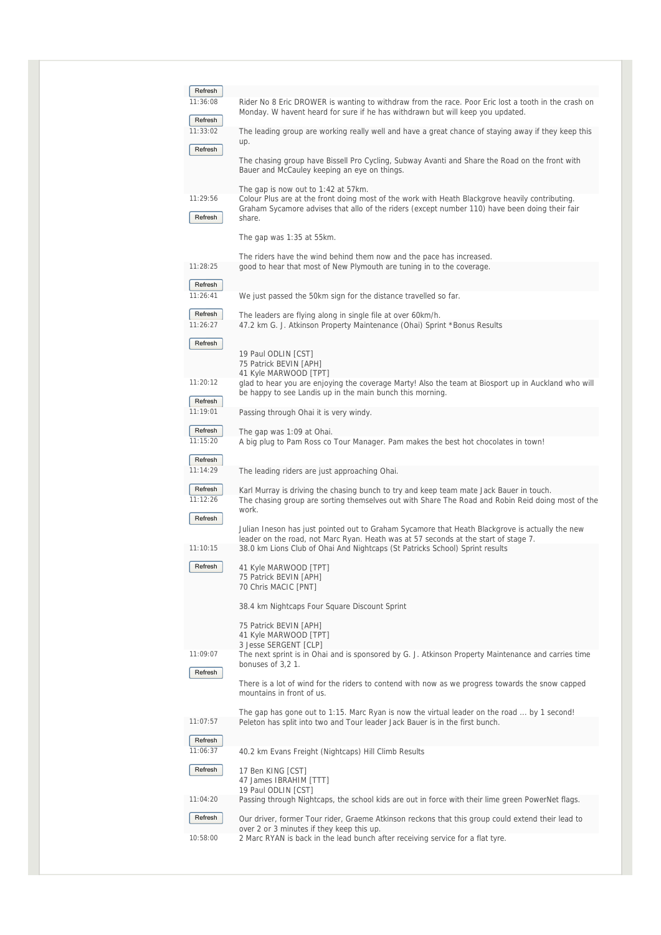| Refresh<br>11:36:08 | Rider No 8 Eric DROWER is wanting to withdraw from the race. Poor Eric lost a tooth in the crash on<br>Monday. W havent heard for sure if he has withdrawn but will keep you updated.                                                               |
|---------------------|-----------------------------------------------------------------------------------------------------------------------------------------------------------------------------------------------------------------------------------------------------|
| Refresh<br>11:33:02 | The leading group are working really well and have a great chance of staying away if they keep this<br>up.                                                                                                                                          |
| Refresh             | The chasing group have Bissell Pro Cycling, Subway Avanti and Share the Road on the front with<br>Bauer and McCauley keeping an eye on things.                                                                                                      |
| 11:29:56<br>Refresh | The gap is now out to 1:42 at 57 km.<br>Colour Plus are at the front doing most of the work with Heath Blackgrove heavily contributing.<br>Graham Sycamore advises that allo of the riders (except number 110) have been doing their fair<br>share. |
|                     | The gap was 1:35 at 55km.                                                                                                                                                                                                                           |
| 11:28:25            | The riders have the wind behind them now and the pace has increased.<br>good to hear that most of New Plymouth are tuning in to the coverage.                                                                                                       |
| Refresh<br>11:26:41 | We just passed the 50km sign for the distance travelled so far.                                                                                                                                                                                     |
| Refresh             | The leaders are flying along in single file at over 60km/h.                                                                                                                                                                                         |
| 11:26:27<br>Refresh | 47.2 km G. J. Atkinson Property Maintenance (Ohai) Sprint *Bonus Results                                                                                                                                                                            |
|                     | 19 Paul ODLIN [CST]<br>75 Patrick BEVIN [APH]<br>41 Kyle MARWOOD [TPT]                                                                                                                                                                              |
| 11:20:12<br>Refresh | glad to hear you are enjoying the coverage Marty! Also the team at Biosport up in Auckland who will<br>be happy to see Landis up in the main bunch this morning.                                                                                    |
| 11:19:01            | Passing through Ohai it is very windy.                                                                                                                                                                                                              |
| Refresh<br>11:15:20 | The gap was 1:09 at Ohai.<br>A big plug to Pam Ross co Tour Manager. Pam makes the best hot chocolates in town!                                                                                                                                     |
| Refresh<br>11:14:29 | The leading riders are just approaching Ohai.                                                                                                                                                                                                       |
| Refresh<br>11:12:26 | Karl Murray is driving the chasing bunch to try and keep team mate Jack Bauer in touch.<br>The chasing group are sorting themselves out with Share The Road and Robin Reid doing most of the                                                        |
| Refresh             | work.<br>Julian Ineson has just pointed out to Graham Sycamore that Heath Blackgrove is actually the new                                                                                                                                            |
| 11:10:15            | leader on the road, not Marc Ryan. Heath was at 57 seconds at the start of stage 7.<br>38.0 km Lions Club of Ohai And Nightcaps (St Patricks School) Sprint results                                                                                 |
| Refresh             | 41 Kyle MARWOOD [TPT]<br>75 Patrick BEVIN [APH]<br>70 Chris MACIC [PNT]                                                                                                                                                                             |
|                     | 38.4 km Nightcaps Four Square Discount Sprint                                                                                                                                                                                                       |
|                     | 75 Patrick BEVIN [APH]<br>41 Kyle MARWOOD [TPT]<br>3 Jesse SERGENT [CLP]                                                                                                                                                                            |
| 11:09:07            | The next sprint is in Ohai and is sponsored by G. J. Atkinson Property Maintenance and carries time<br>bonuses of 3,21.                                                                                                                             |
| Refresh             | There is a lot of wind for the riders to contend with now as we progress towards the snow capped<br>mountains in front of us.                                                                                                                       |
| 11:07:57            | The gap has gone out to 1:15. Marc Ryan is now the virtual leader on the road  by 1 second!<br>Peleton has split into two and Tour leader Jack Bauer is in the first bunch.                                                                         |
| Refresh             |                                                                                                                                                                                                                                                     |
| 11:06:37<br>Refresh | 40.2 km Evans Freight (Nightcaps) Hill Climb Results<br>17 Ben KING [CST]                                                                                                                                                                           |
|                     | 47 James IBRAHIM [TTT]<br>19 Paul ODLIN [CST]                                                                                                                                                                                                       |
| 11:04:20            | Passing through Nightcaps, the school kids are out in force with their lime green PowerNet flags.                                                                                                                                                   |
| Refresh             | Our driver, former Tour rider, Graeme Atkinson reckons that this group could extend their lead to<br>over 2 or 3 minutes if they keep this up.                                                                                                      |
| 10:58:00            | 2 Marc RYAN is back in the lead bunch after receiving service for a flat tyre.                                                                                                                                                                      |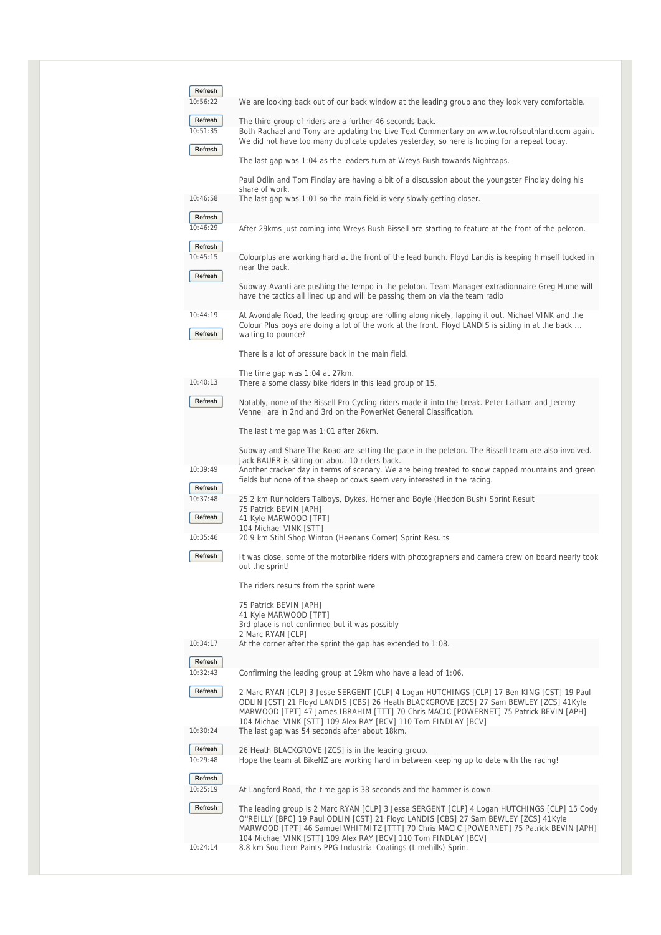| Refresh                        |                                                                                                                                                                                                                                                                                                                                                 |
|--------------------------------|-------------------------------------------------------------------------------------------------------------------------------------------------------------------------------------------------------------------------------------------------------------------------------------------------------------------------------------------------|
| 10:56:22                       | We are looking back out of our back window at the leading group and they look very comfortable.                                                                                                                                                                                                                                                 |
| Refresh<br>10:51:35<br>Refresh | The third group of riders are a further 46 seconds back.<br>Both Rachael and Tony are updating the Live Text Commentary on www.tourofsouthland.com again.<br>We did not have too many duplicate updates yesterday, so here is hoping for a repeat today.                                                                                        |
|                                | The last gap was 1:04 as the leaders turn at Wreys Bush towards Nightcaps.                                                                                                                                                                                                                                                                      |
|                                | Paul Odlin and Tom Findlay are having a bit of a discussion about the youngster Findlay doing his<br>share of work.                                                                                                                                                                                                                             |
| 10:46:58                       | The last gap was 1:01 so the main field is very slowly getting closer.                                                                                                                                                                                                                                                                          |
| Refresh<br>10:46:29            | After 29kms just coming into Wreys Bush Bissell are starting to feature at the front of the peloton.                                                                                                                                                                                                                                            |
| Refresh<br>10:45:15<br>Refresh | Colourplus are working hard at the front of the lead bunch. Floyd Landis is keeping himself tucked in<br>near the back.                                                                                                                                                                                                                         |
|                                | Subway-Avanti are pushing the tempo in the peloton. Team Manager extradionnaire Greg Hume will<br>have the tactics all lined up and will be passing them on via the team radio                                                                                                                                                                  |
| 10:44:19<br>Refresh            | At Avondale Road, the leading group are rolling along nicely, lapping it out. Michael VINK and the<br>Colour Plus boys are doing a lot of the work at the front. Floyd LANDIS is sitting in at the back<br>waiting to pounce?                                                                                                                   |
|                                | There is a lot of pressure back in the main field.                                                                                                                                                                                                                                                                                              |
| 10:40:13                       | The time gap was 1:04 at 27km.<br>There a some classy bike riders in this lead group of 15.                                                                                                                                                                                                                                                     |
| Refresh                        | Notably, none of the Bissell Pro Cycling riders made it into the break. Peter Latham and Jeremy<br>Vennell are in 2nd and 3rd on the PowerNet General Classification.                                                                                                                                                                           |
|                                | The last time gap was 1:01 after 26km.                                                                                                                                                                                                                                                                                                          |
|                                | Subway and Share The Road are setting the pace in the peleton. The Bissell team are also involved.<br>Jack BAUER is sitting on about 10 riders back.                                                                                                                                                                                            |
| 10:39:49                       | Another cracker day in terms of scenary. We are being treated to snow capped mountains and green<br>fields but none of the sheep or cows seem very interested in the racing.                                                                                                                                                                    |
| Refresh<br>10:37:48<br>Refresh | 25.2 km Runholders Talboys, Dykes, Horner and Boyle (Heddon Bush) Sprint Result<br>75 Patrick BEVIN [APH]<br>41 Kyle MARWOOD [TPT]                                                                                                                                                                                                              |
| 10:35:46                       | 104 Michael VINK [STT]<br>20.9 km Stihl Shop Winton (Heenans Corner) Sprint Results                                                                                                                                                                                                                                                             |
| Refresh                        | It was close, some of the motorbike riders with photographers and camera crew on board nearly took                                                                                                                                                                                                                                              |
|                                | out the sprint!                                                                                                                                                                                                                                                                                                                                 |
|                                | The riders results from the sprint were                                                                                                                                                                                                                                                                                                         |
|                                | 75 Patrick BEVIN [APH]<br>41 Kyle MARWOOD [TPT]                                                                                                                                                                                                                                                                                                 |
|                                | 3rd place is not confirmed but it was possibly<br>2 Marc RYAN [CLP]                                                                                                                                                                                                                                                                             |
| 10:34:17                       | At the corner after the sprint the gap has extended to 1:08.                                                                                                                                                                                                                                                                                    |
| Refresh<br>10:32:43            | Confirming the leading group at 19km who have a lead of 1:06.                                                                                                                                                                                                                                                                                   |
| Refresh                        | 2 Marc RYAN [CLP] 3 Jesse SERGENT [CLP] 4 Logan HUTCHINGS [CLP] 17 Ben KING [CST] 19 Paul<br>ODLIN [CST] 21 Floyd LANDIS [CBS] 26 Heath BLACKGROVE [ZCS] 27 Sam BEWLEY [ZCS] 41Kyle<br>MARWOOD [TPT] 47 James IBRAHIM [TTT] 70 Chris MACIC [POWERNET] 75 Patrick BEVIN [APH]<br>104 Michael VINK [STT] 109 Alex RAY [BCV] 110 Tom FINDLAY [BCV] |
| 10:30:24                       | The last gap was 54 seconds after about 18km.                                                                                                                                                                                                                                                                                                   |
| Refresh<br>10:29:48            | 26 Heath BLACKGROVE [ZCS] is in the leading group.<br>Hope the team at BikeNZ are working hard in between keeping up to date with the racing!                                                                                                                                                                                                   |
| Refresh<br>10:25:19            | At Langford Road, the time gap is 38 seconds and the hammer is down.                                                                                                                                                                                                                                                                            |
| Refresh                        | The leading group is 2 Marc RYAN [CLP] 3 Jesse SERGENT [CLP] 4 Logan HUTCHINGS [CLP] 15 Cody<br>O"REILLY [BPC] 19 Paul ODLIN [CST] 21 Floyd LANDIS [CBS] 27 Sam BEWLEY [ZCS] 41Kyle<br>MARWOOD [TPT] 46 Samuel WHITMITZ [TTT] 70 Chris MACIC [POWERNET] 75 Patrick BEVIN [APH]                                                                  |
| 10:24:14                       | 104 Michael VINK [STT] 109 Alex RAY [BCV] 110 Tom FINDLAY [BCV]<br>8.8 km Southern Paints PPG Industrial Coatings (Limehills) Sprint                                                                                                                                                                                                            |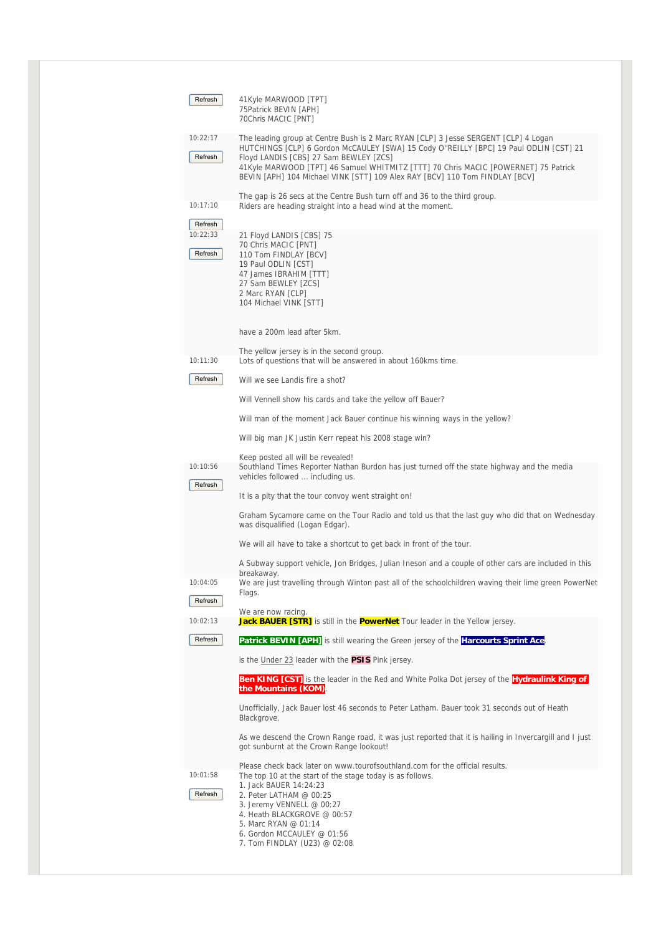| Refresh             | 41Kyle MARWOOD [TPT]<br>75Patrick BEVIN [APH]<br>70Chris MACIC [PNT]                                                                                                                                                                                                                                                                                                                        |
|---------------------|---------------------------------------------------------------------------------------------------------------------------------------------------------------------------------------------------------------------------------------------------------------------------------------------------------------------------------------------------------------------------------------------|
| 10:22:17<br>Refresh | The leading group at Centre Bush is 2 Marc RYAN [CLP] 3 Jesse SERGENT [CLP] 4 Logan<br>HUTCHINGS [CLP] 6 Gordon McCAULEY [SWA] 15 Cody O"REILLY [BPC] 19 Paul ODLIN [CST] 21<br>Floyd LANDIS [CBS] 27 Sam BEWLEY [ZCS]<br>41Kyle MARWOOD [TPT] 46 Samuel WHITMITZ [TTT] 70 Chris MACIC [POWERNET] 75 Patrick<br>BEVIN [APH] 104 Michael VINK [STT] 109 Alex RAY [BCV] 110 Tom FINDLAY [BCV] |
| 10:17:10<br>Refresh | The gap is 26 secs at the Centre Bush turn off and 36 to the third group.<br>Riders are heading straight into a head wind at the moment.                                                                                                                                                                                                                                                    |
| 10:22:33<br>Refresh | 21 Floyd LANDIS [CBS] 75<br>70 Chris MACIC [PNT]<br>110 Tom FINDLAY [BCV]<br>19 Paul ODLIN [CST]<br>47 James IBRAHIM [TTT]<br>27 Sam BEWLEY [ZCS]<br>2 Marc RYAN [CLP]<br>104 Michael VINK [STT]                                                                                                                                                                                            |
|                     | have a 200m lead after 5km.                                                                                                                                                                                                                                                                                                                                                                 |
| 10:11:30            | The yellow jersey is in the second group.<br>Lots of questions that will be answered in about 160kms time.                                                                                                                                                                                                                                                                                  |
| Refresh             | Will we see Landis fire a shot?                                                                                                                                                                                                                                                                                                                                                             |
|                     | Will Vennell show his cards and take the yellow off Bauer?                                                                                                                                                                                                                                                                                                                                  |
|                     | Will man of the moment Jack Bauer continue his winning ways in the yellow?                                                                                                                                                                                                                                                                                                                  |
|                     | Will big man JK Justin Kerr repeat his 2008 stage win?                                                                                                                                                                                                                                                                                                                                      |
| 10:10:56<br>Refresh | Keep posted all will be revealed!<br>Southland Times Reporter Nathan Burdon has just turned off the state highway and the media<br>vehicles followed  including us.                                                                                                                                                                                                                         |
|                     | It is a pity that the tour convoy went straight on!                                                                                                                                                                                                                                                                                                                                         |
|                     | Graham Sycamore came on the Tour Radio and told us that the last guy who did that on Wednesday<br>was disqualified (Logan Edgar).                                                                                                                                                                                                                                                           |
|                     | We will all have to take a shortcut to get back in front of the tour.                                                                                                                                                                                                                                                                                                                       |
|                     | A Subway support vehicle, Jon Bridges, Julian Ineson and a couple of other cars are included in this<br>breakaway.                                                                                                                                                                                                                                                                          |
| 10:04:05<br>Refresh | We are just travelling through Winton past all of the schoolchildren waving their lime green PowerNet<br>Flags.                                                                                                                                                                                                                                                                             |
| 10:02:13            | We are now racing.<br>Jack BAUER [STR] is still in the <b>PowerNet</b> Tour leader in the Yellow jersey.                                                                                                                                                                                                                                                                                    |
| Refresh             | Patrick BEVIN [APH] is still wearing the Green jersey of the Harcourts Sprint Ace.                                                                                                                                                                                                                                                                                                          |
|                     | is the Under 23 leader with the <b>PSIS</b> Pink jersey.                                                                                                                                                                                                                                                                                                                                    |
|                     | <b>Ben KING [CST]</b> is the leader in the Red and White Polka Dot jersey of the <b>Hydraulink King of</b><br>the Mountains (KOM).                                                                                                                                                                                                                                                          |
|                     | Unofficially, Jack Bauer lost 46 seconds to Peter Latham. Bauer took 31 seconds out of Heath<br>Blackgrove.                                                                                                                                                                                                                                                                                 |
|                     | As we descend the Crown Range road, it was just reported that it is hailing in Invercargill and I just<br>got sunburnt at the Crown Range lookout!                                                                                                                                                                                                                                          |
| 10:01:58<br>Refresh | Please check back later on www.tourofsouthland.com for the official results.<br>The top 10 at the start of the stage today is as follows.<br>1. Jack BAUER 14:24:23<br>2. Peter LATHAM @ 00:25<br>3. Jeremy VENNELL @ 00:27<br>4. Heath BLACKGROVE @ 00:57<br>5. Marc RYAN @ 01:14<br>6. Gordon MCCAULEY @ 01:56<br>7. Tom FINDLAY (U23) @ 02:08                                            |